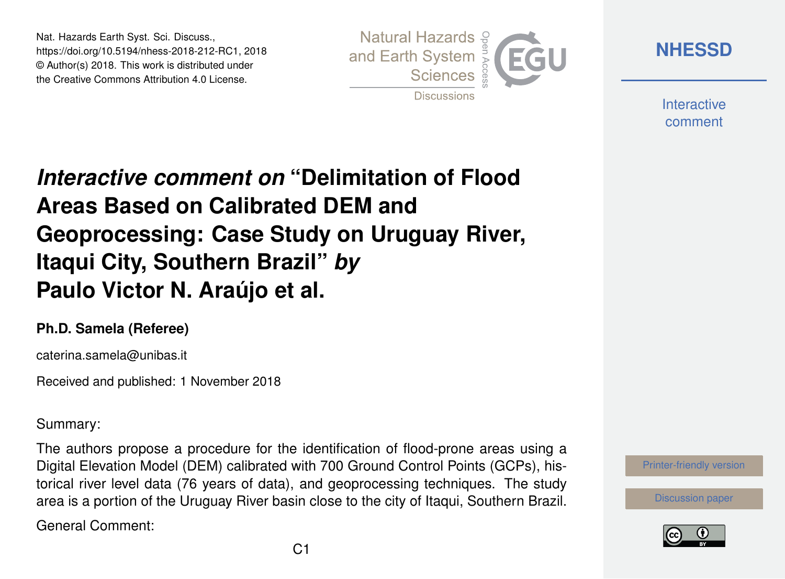Nat. Hazards Earth Syst. Sci. Discuss., https://doi.org/10.5194/nhess-2018-212-RC1, 2018 © Author(s) 2018. This work is distributed under the Creative Commons Attribution 4.0 License.



**[NHESSD](https://www.nat-hazards-earth-syst-sci-discuss.net/)**

**Interactive** comment

## *Interactive comment on* **"Delimitation of Flood Areas Based on Calibrated DEM and Geoprocessing: Case Study on Uruguay River, Itaqui City, Southern Brazil"** *by* **Paulo Victor N. Araújo et al.**

## **Ph.D. Samela (Referee)**

caterina.samela@unibas.it

Received and published: 1 November 2018

Summary:

The authors propose a procedure for the identification of flood-prone areas using a Digital Elevation Model (DEM) calibrated with 700 Ground Control Points (GCPs), historical river level data (76 years of data), and geoprocessing techniques. The study area is a portion of the Uruguay River basin close to the city of Itaqui, Southern Brazil.

General Comment:



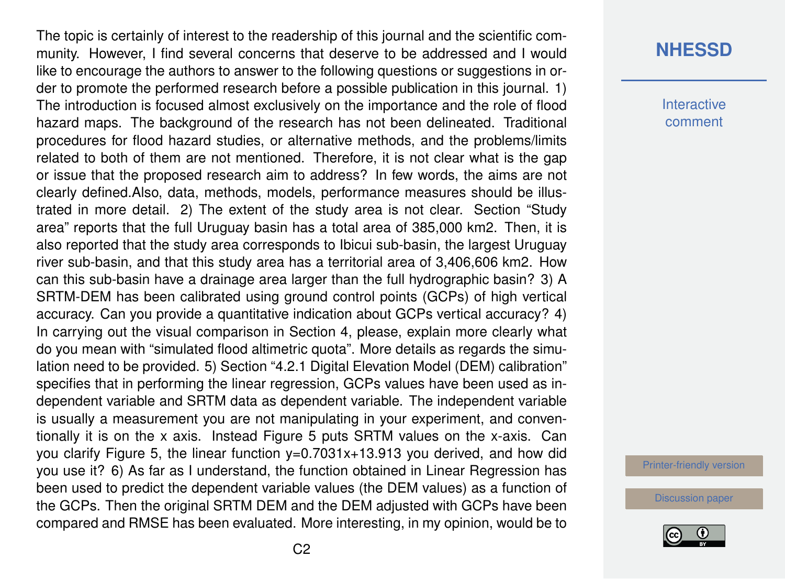The topic is certainly of interest to the readership of this journal and the scientific community. However, I find several concerns that deserve to be addressed and I would like to encourage the authors to answer to the following questions or suggestions in order to promote the performed research before a possible publication in this journal. 1) The introduction is focused almost exclusively on the importance and the role of flood hazard maps. The background of the research has not been delineated. Traditional procedures for flood hazard studies, or alternative methods, and the problems/limits related to both of them are not mentioned. Therefore, it is not clear what is the gap or issue that the proposed research aim to address? In few words, the aims are not clearly defined.Also, data, methods, models, performance measures should be illustrated in more detail. 2) The extent of the study area is not clear. Section "Study area" reports that the full Uruguay basin has a total area of 385,000 km2. Then, it is also reported that the study area corresponds to Ibicui sub-basin, the largest Uruguay river sub-basin, and that this study area has a territorial area of 3,406,606 km2. How can this sub-basin have a drainage area larger than the full hydrographic basin? 3) A SRTM-DEM has been calibrated using ground control points (GCPs) of high vertical accuracy. Can you provide a quantitative indication about GCPs vertical accuracy? 4) In carrying out the visual comparison in Section 4, please, explain more clearly what do you mean with "simulated flood altimetric quota". More details as regards the simulation need to be provided. 5) Section "4.2.1 Digital Elevation Model (DEM) calibration" specifies that in performing the linear regression, GCPs values have been used as independent variable and SRTM data as dependent variable. The independent variable is usually a measurement you are not manipulating in your experiment, and conventionally it is on the x axis. Instead Figure 5 puts SRTM values on the x-axis. Can you clarify Figure 5, the linear function y=0.7031x+13.913 you derived, and how did you use it? 6) As far as I understand, the function obtained in Linear Regression has been used to predict the dependent variable values (the DEM values) as a function of the GCPs. Then the original SRTM DEM and the DEM adjusted with GCPs have been compared and RMSE has been evaluated. More interesting, in my opinion, would be to

## **[NHESSD](https://www.nat-hazards-earth-syst-sci-discuss.net/)**

**Interactive** comment

[Printer-friendly version](https://www.nat-hazards-earth-syst-sci-discuss.net/nhess-2018-212/nhess-2018-212-RC1-print.pdf)

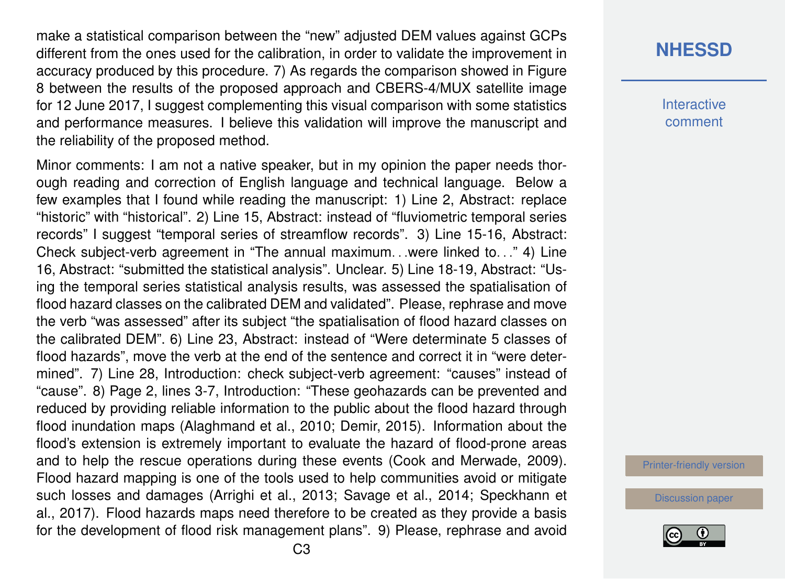make a statistical comparison between the "new" adjusted DEM values against GCPs different from the ones used for the calibration, in order to validate the improvement in accuracy produced by this procedure. 7) As regards the comparison showed in Figure 8 between the results of the proposed approach and CBERS-4/MUX satellite image for 12 June 2017, I suggest complementing this visual comparison with some statistics and performance measures. I believe this validation will improve the manuscript and the reliability of the proposed method.

Minor comments: I am not a native speaker, but in my opinion the paper needs thorough reading and correction of English language and technical language. Below a few examples that I found while reading the manuscript: 1) Line 2, Abstract: replace "historic" with "historical". 2) Line 15, Abstract: instead of "fluviometric temporal series records" I suggest "temporal series of streamflow records". 3) Line 15-16, Abstract: Check subject-verb agreement in "The annual maximum. . .were linked to. . ." 4) Line 16, Abstract: "submitted the statistical analysis". Unclear. 5) Line 18-19, Abstract: "Using the temporal series statistical analysis results, was assessed the spatialisation of flood hazard classes on the calibrated DEM and validated". Please, rephrase and move the verb "was assessed" after its subject "the spatialisation of flood hazard classes on the calibrated DEM". 6) Line 23, Abstract: instead of "Were determinate 5 classes of flood hazards", move the verb at the end of the sentence and correct it in "were determined". 7) Line 28, Introduction: check subject-verb agreement: "causes" instead of "cause". 8) Page 2, lines 3-7, Introduction: "These geohazards can be prevented and reduced by providing reliable information to the public about the flood hazard through flood inundation maps (Alaghmand et al., 2010; Demir, 2015). Information about the flood's extension is extremely important to evaluate the hazard of flood-prone areas and to help the rescue operations during these events (Cook and Merwade, 2009). Flood hazard mapping is one of the tools used to help communities avoid or mitigate such losses and damages (Arrighi et al., 2013; Savage et al., 2014; Speckhann et al., 2017). Flood hazards maps need therefore to be created as they provide a basis for the development of flood risk management plans". 9) Please, rephrase and avoid **Interactive** comment

[Printer-friendly version](https://www.nat-hazards-earth-syst-sci-discuss.net/nhess-2018-212/nhess-2018-212-RC1-print.pdf)